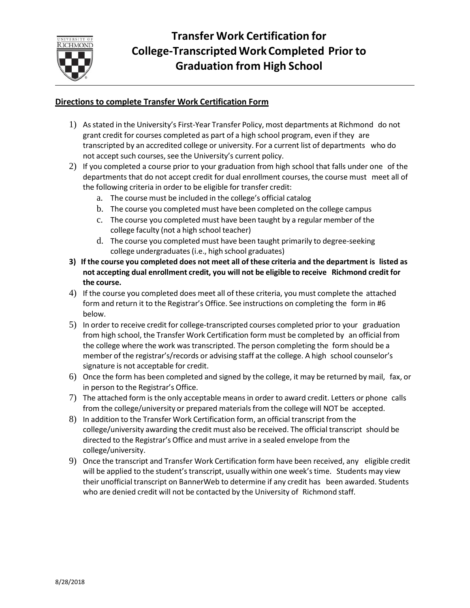

## **Directions to complete Transfer Work Certification Form**

- 1) Asstated in the University's First-Year Transfer Policy, most departments at Richmond do not grant credit for courses completed as part of a high school program, even if they are transcripted by an accredited college or university. For a current list of departments who do not accept such courses, see the University's current policy.
- 2) If you completed a course prior to your graduation from high school that falls under one of the departments that do not accept credit for dual enrollment courses, the course must meet all of the following criteria in order to be eligible for transfer credit:
	- a. The course must be included in the college's official catalog
	- b. The course you completed must have been completed on the college campus
	- c. The course you completed must have been taught by a regular member of the college faculty (not a high school teacher)
	- d. The course you completed must have been taught primarily to degree-seeking college undergraduates(i.e., high school graduates)
- **3) If the course you completed does not meet all of these criteria and the department is listed as not accepting dual enrollment credit, you will not be eligible to receive Richmond credit for the course.**
- 4) If the course you completed does meet all of these criteria, you must complete the attached form and return it to the Registrar's Office. See instructions on completing the form in #6 below.
- 5) In order to receive credit for college-transcripted courses completed prior to your graduation from high school, the Transfer Work Certification form must be completed by an official from the college where the work was transcripted. The person completing the form should be a member of the registrar's/records or advising staff at the college. A high school counselor's signature is not acceptable for credit.
- 6) Once the form has been completed and signed by the college, it may be returned by mail, fax, or in person to the Registrar's Office.
- 7) The attached form is the only acceptable means in order to award credit. Letters or phone calls from the college/university or prepared materials from the college will NOT be accepted.
- 8) In addition to the Transfer Work Certification form, an official transcript from the college/university awarding the credit must also be received. The official transcript should be directed to the Registrar's Office and must arrive in a sealed envelope from the college/university.
- 9) Once the transcript and Transfer Work Certification form have been received, any eligible credit will be applied to the student's transcript, usually within one week's time. Students may view their unofficial transcript on BannerWeb to determine if any credit has been awarded. Students who are denied credit will not be contacted by the University of Richmond staff.